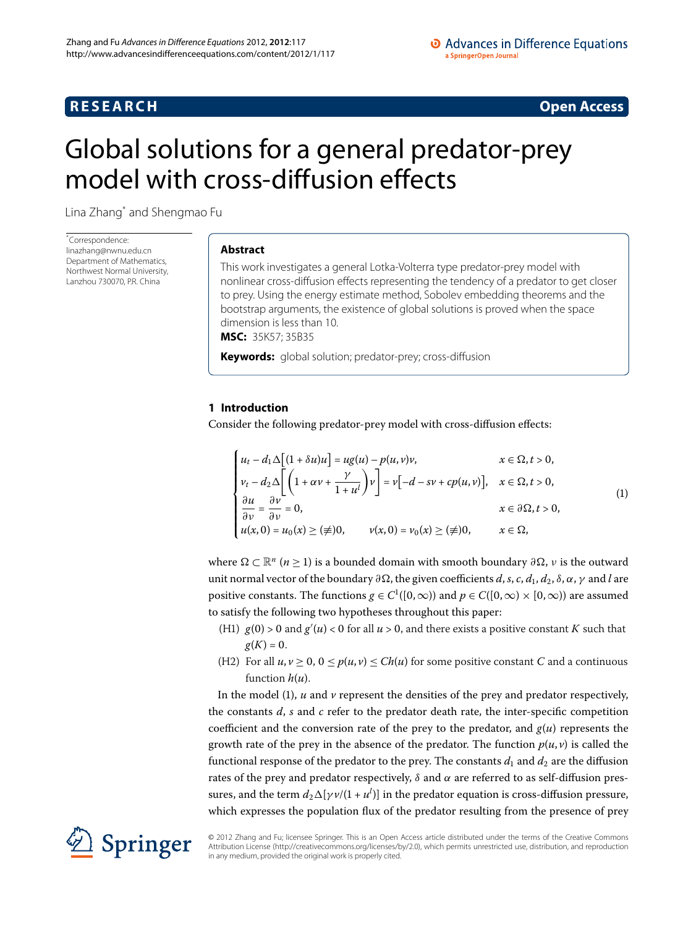# **RESEARCH CONSTRUCTER ACCESS**

# <span id="page-0-0"></span>Global solutions for a general predator-prey model with cross-diffusion effects

Lina Zhang[\\*](#page-0-0) and Shengmao Fu

\* Correspondence: [linazhang@nwnu.edu.cn](mailto:linazhang@nwnu.edu.cn) Department of Mathematics, Northwest Normal University, Lanzhou 730070, P.R. China

# **Abstract**

This work investigates a general Lotka-Volterra type predator-prey model with nonlinear cross-diffusion effects representing the tendency of a predator to get closer to prey. Using the energy estimate method, Sobolev embedding theorems and the bootstrap arguments, the existence of global solutions is proved when the space dimension is less than 10. **MSC:** 35K57; 35B35

**Keywords:** global solution; predator-prey; cross-diffusion

# **1 Introduction**

Consider the following predator-prey model with cross-diffusion effects:

<span id="page-0-1"></span>
$$
\begin{cases}\n u_t - d_1 \Delta \Big[ (1 + \delta u)u \Big] = u g(u) - p(u, v)v, & x \in \Omega, t > 0, \\
v_t - d_2 \Delta \Big[ \Big( 1 + \alpha v + \frac{\gamma}{1 + u^l} \Big) v \Big] = v \Big[ -d - sv + cp(u, v) \Big], & x \in \Omega, t > 0, \\
\frac{\partial u}{\partial v} = \frac{\partial v}{\partial v} = 0, & x \in \partial \Omega, t > 0, \\
u(x, 0) = u_0(x) \ge (\neq) 0, & v(x, 0) = v_0(x) \ge (\neq) 0, & x \in \Omega,\n\end{cases}
$$
\n(1)

where  $\Omega \subset \mathbb{R}^n$  (*n*  $\geq$  1) is a bounded domain with smooth boundary  $\partial \Omega$ , *ν* is the outward unit normal vector of the boundary  $\partial \Omega$ , the given coefficients *d*, *s*, *c*, *d*<sub>1</sub>, *d*<sub>2</sub>, *δ*, *α*, *γ* and *l* are positive constants. The functions  $g \in C^1([0,\infty))$  and  $p \in C([0,\infty) \times [0,\infty))$  are assumed to satisfy the following two hypotheses throughout this paper:

- (H1)  $g(0) > 0$  and  $g'(u) < 0$  for all  $u > 0$ , and there exists a positive constant *K* such that  $g(K)=0.$
- (H2) For all  $u, v \ge 0$ ,  $0 \le p(u, v) \le Ch(u)$  for some positive constant *C* and a continuous function *h*(*u*).

In the model  $(1)$  $(1)$ ,  $u$  and  $v$  represent the densities of the prey and predator respectively, the constants *d*, *s* and *c* refer to the predator death rate, the inter-specific competition coefficient and the conversion rate of the prey to the predator, and  $g(u)$  represents the growth rate of the prey in the absence of the predator. The function  $p(u, v)$  is called the functional response of the predator to the prey. The constants  $d_1$  and  $d_2$  are the diffusion rates of the prey and predator respectively, *δ* and *α* are referred to as self-diffusion pressures, and the term  $d_2\Delta[\gamma\nu/(1+u^l)]$  in the predator equation is cross-diffusion pressure, which expresses the population flux of the predator resulting from the presence of prey



© 2012 Zhang and Fu; licensee Springer. This is an Open Access article distributed under the terms of the Creative Commons Attribution License [\(http://creativecommons.org/licenses/by/2.0](http://creativecommons.org/licenses/by/2.0)), which permits unrestricted use, distribution, and reproduction in any medium, provided the original work is properly cited.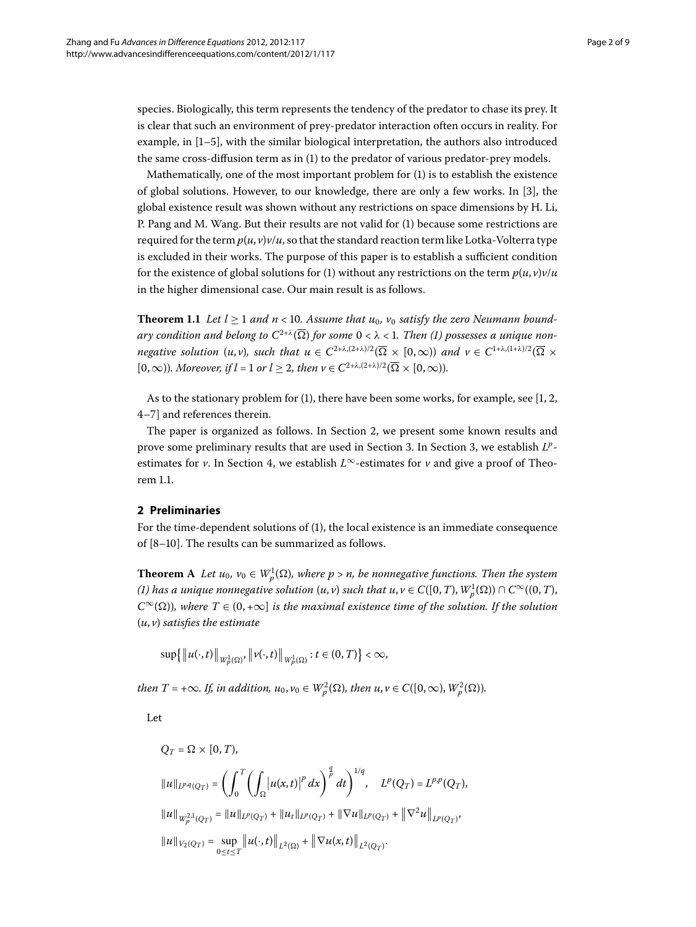species. Biologically, this term represents the tendency of the predator to chase its prey. It is clear that such an environment of prey-predator interaction often occurs in reality. For example, in  $[1–5]$  $[1–5]$  $[1–5]$  $[1–5]$ , with the similar biological interpretation, the authors also introduced the same cross-diffusion term as in [\(](#page-0-1)1) to the predator of various predator-prey models.

<span id="page-1-1"></span>Mathematically, one of the most important problem for  $(1)$  $(1)$  is to establish the existence of global solutions. However, to our knowledge, there are only a few works. In [3[\]](#page-8-2), the global existence result was shown without any restrictions on space dimensions by H. Li, P. Pang and M. Wang. But their results are not valid for (1) because some restrictions are required for the term  $p(u, v)v/u$ , so that the standard reaction term like Lotka-Volterra type is excluded in their works. The purpose of this paper is to establish a sufficient condition for the existence of global solutions for [\(](#page-0-1)1) without any restrictions on the term  $p(u, v)v/u$ in the higher dimensional case. Our main result is as follows.

**Theorem 1.1** Let  $l \geq 1$  and  $n < 10$ . Assume that  $u_0$ ,  $v_0$  satisfy the zero Neumann bound*ary condition and belong to*  $C^{2+\lambda}(\overline{\Omega})$  $C^{2+\lambda}(\overline{\Omega})$  $C^{2+\lambda}(\overline{\Omega})$  *for some*  $0 < \lambda < 1$ *. Then* (1) possesses a unique non*negative solution*  $(u, v)$ *, such that*  $u \in C^{2+\lambda,(2+\lambda)/2}(\overline{\Omega} \times [0, \infty))$  *and*  $v \in C^{1+\lambda,(1+\lambda)/2}(\overline{\Omega} \times [0, \infty))$  $[0,\infty)$ *). Moreover, if l* = 1 *or l*  $\geq$  2*, then*  $\nu \in C^{2+\lambda,(2+\lambda)/2}(\overline{\Omega} \times [0,\infty))$ *.* 

<span id="page-1-0"></span>As to the stationary problem for  $(1)$  $(1)$ [,](#page-8-3) there have been some works, for example, see  $[1, 2, 3]$ 4-7[\]](#page-8-5) and references therein.

The paper is organized as follows. In Section 2, we present some known results and prove some preliminary results that are used in Section 3. In Section 3[,](#page-3-0) we establish  $L^p$ estimates for *v*. In Section 4[,](#page-5-0) we establish  $L^{\infty}$ -estimates for *v* and give a proof of Theorem 1.1.

# **2 Preliminaries**

For the time-dependent solutions of (1), the local existence is an immediate consequence of  $[8-10]$  $[8-10]$ . The results can be summarized as follows.

**Theorem** A *Let*  $u_0$ ,  $v_0 \in W_p^1(\Omega)$ , where  $p > n$ , be nonnegative functions. Then the system  $(1)$  $(1)$  has a unique nonnegative solution  $(u, v)$  such that  $u, v \in C([0, T), W^{1}_{p}(\Omega)) \cap C^{\infty}((0, T),$  $C^{\infty}(\Omega)$ *), where*  $T \in (0, +\infty]$  *is the maximal existence time of the solution. If the solution* (*u*, *v*) *satisfies the estimate*

$$
\sup\left\{\left\|u(\cdot,t)\right\|_{W_p^1(\Omega)},\left\|v(\cdot,t)\right\|_{W_p^1(\Omega)};t\in(0,T)\right\}<\infty,
$$

*then*  $T = +\infty$ *. If, in addition, u*<sub>0</sub>,  $v_0 \in W_p^2(\Omega)$ *, then u*,  $v \in C([0,\infty), W_p^2(\Omega))$ *.* 

Let

$$
Q_T = \Omega \times [0, T),
$$
  
\n
$$
||u||_{L^{p,q}(Q_T)} = \left(\int_0^T \left(\int_{\Omega} \left|u(x,t)\right|^p dx\right)^{\frac{q}{p}} dt\right)^{1/q}, \quad L^p(Q_T) = L^{p,p}(Q_T),
$$
  
\n
$$
||u||_{W^{2,1}_p(Q_T)} = ||u||_{L^p(Q_T)} + ||u_t||_{L^p(Q_T)} + ||\nabla u||_{L^p(Q_T)} + ||\nabla^2 u||_{L^p(Q_T)},
$$
  
\n
$$
||u||_{V_2(Q_T)} = \sup_{0 \le t \le T} ||u(\cdot, t)||_{L^2(Q)} + ||\nabla u(x, t)||_{L^2(Q_T)}.
$$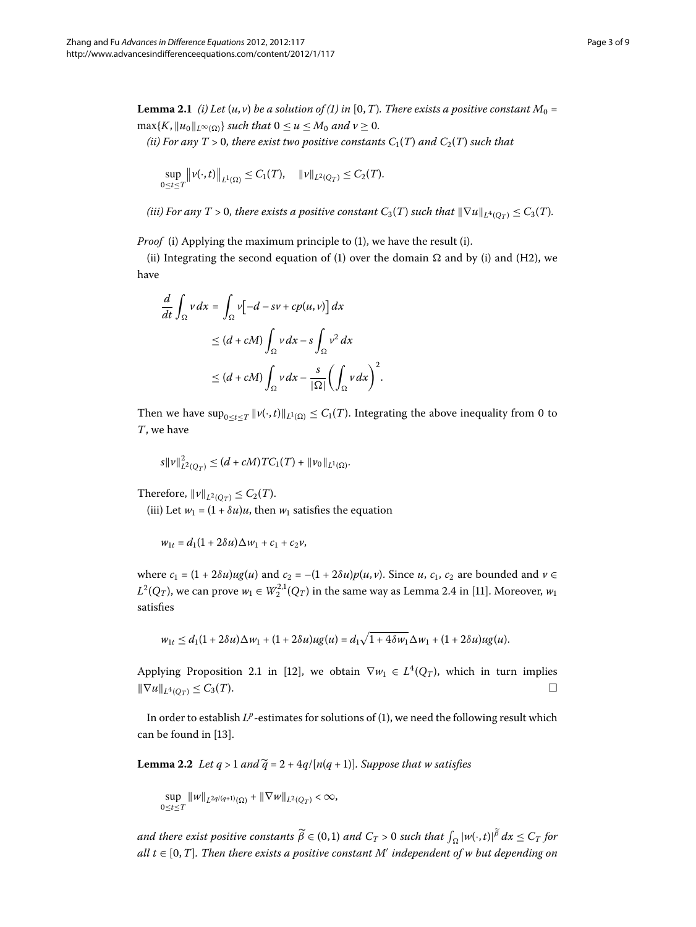<span id="page-2-0"></span>**Lemma 2.1** *(i[\)](#page-0-1) Let*  $(u, v)$  *be a solution of (1) in* [0, *T*)*. There exists a positive constant*  $M_0 =$  $\max{K, ||u_0||_{L^{\infty}(\Omega)}}$  *such that*  $0 \le u \le M_0$  *and*  $v \ge 0$ *.* 

*(ii) For any T > 0, there exist two positive constants*  $C_1(T)$  *and*  $C_2(T)$  *such that* 

$$
\sup_{0 \leq t \leq T} \|\nu(\cdot,t)\|_{L^1(\Omega)} \leq C_1(T), \quad \|\nu\|_{L^2(Q_T)} \leq C_2(T).
$$

*(iii) For any T* > 0, there exists a positive constant  $C_3(T)$  such that  $\|\nabla u\|_{L^4(O_T)} \leq C_3(T)$ .

*Proof* (i) Applying the maximum principle to (1), we have the result (i).

(ii) Integrating the second equation of (1) over the domain  $\Omega$  and by (i) and (H2), we have

$$
\frac{d}{dt} \int_{\Omega} v \, dx = \int_{\Omega} v \left[ -d - sv + cp(u, v) \right] dx
$$
\n
$$
\leq (d + cM) \int_{\Omega} v \, dx - s \int_{\Omega} v^2 \, dx
$$
\n
$$
\leq (d + cM) \int_{\Omega} v \, dx - \frac{s}{|\Omega|} \left( \int_{\Omega} v \, dx \right)^2.
$$

Then we have  $\sup_{0 \le t \le T} ||v(\cdot,t)||_{L^1(\Omega)} \le C_1(T)$ . Integrating the above inequality from 0 to *T*, we have

$$
s\|\nu\|_{L^2(Q_T)}^2 \le (d + cM)TC_1(T) + \|\nu_0\|_{L^1(\Omega)}.
$$

Therefore,  $\|\nu\|_{L^2(Q_T)} \leq C_2(T)$ .

(iii) Let  $w_1 = (1 + \delta u)u$ , then  $w_1$  satisfies the equation

$$
w_{1t} = d_1(1 + 2\delta u)\Delta w_1 + c_1 + c_2v,
$$

where  $c_1 = (1 + 2\delta u)u(g(u))$  and  $c_2 = -(1 + 2\delta u)p(u, v)$ . Since *u*,  $c_1$ ,  $c_2$  are bounded and  $v \in$  $L^2(Q_T)$ , we can prove  $w_1 \in W_2^{2,1}(Q_T)$  in the same way as Lemma 2.4 in [11]. Moreover,  $w_1$ satisfies

$$
w_{1t} \leq d_1(1+2\delta u)\Delta w_1 + (1+2\delta u)ug(u) = d_1\sqrt{1+4\delta w_1}\Delta w_1 + (1+2\delta u)ug(u).
$$

<span id="page-2-1"></span>Applying Proposition 2.1 in [12], we obtain  $\nabla w_1 \in L^4(Q_T)$ , which in turn implies  $\|\nabla u\|_{L^4(Q_T)} \leq C_3(T).$ 

In order to establish  $L^p$ -estimates for solutions of (1[\)](#page-0-1), we need the following result which can be found in [\[](#page-8-10)13].

**Lemma 2.2** Let  $q > 1$  and  $\widetilde{q} = 2 + \frac{4q}{n(q + 1)}$ . Suppose that w satisfies

sup  $\sup_{0 \le t \le T} \|w\|_{L^{2q/(q+1)}(\Omega)} + \|\nabla w\|_{L^2(Q_T)} < \infty,$ 

and there exist positive constants  $\widetilde{\beta} \in (0,1)$  and  $C_T > 0$  such that  $\int_{\Omega} |w(\cdot,t)|^{\widetilde{\beta}} \, dx \leq C_T$  for  $all$   $t \in [0, T]$ . Then there exists a positive constant M' independent of w but depending on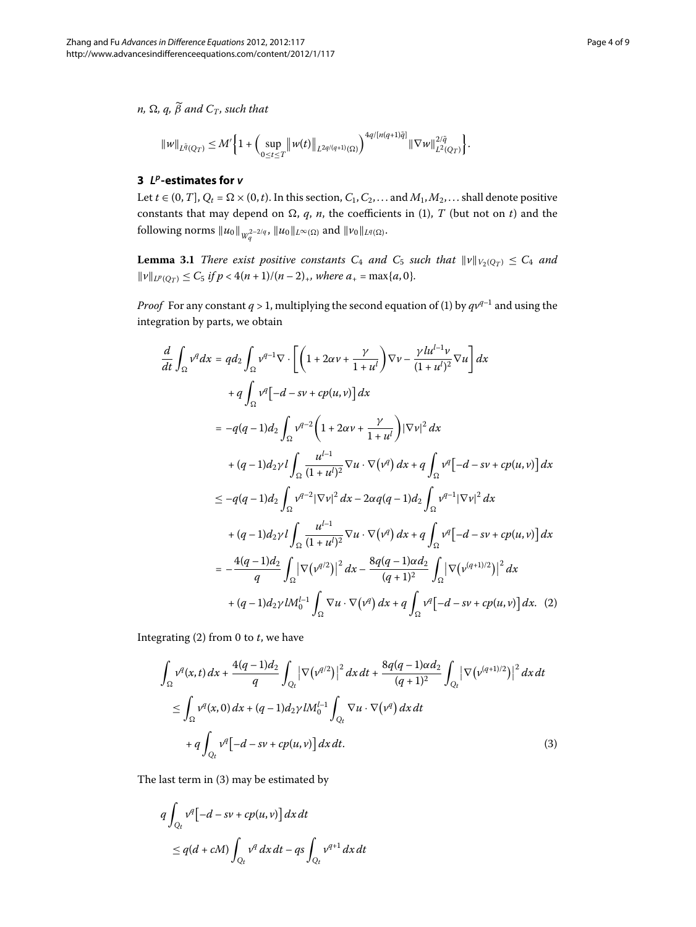<span id="page-3-0"></span> $n, \Omega, q, \beta$  and  $C_T$ , such that

$$
||w||_{L^{\tilde{q}}(Q_T)} \leq M' \bigg\{ 1 + \bigg( \sup_{0 \leq t \leq T} ||w(t)||_{L^{2q/(q+1)}(\Omega)} \bigg)^{4q/[n(q+1)\tilde{q}]} ||\nabla w||_{L^{2}(Q_T)}^{2/\tilde{q}} \bigg\}.
$$

# <span id="page-3-4"></span>**3** *Lp***-estimates for** *v*

Let  $t \in (0, T]$ ,  $Q_t = \Omega \times (0, t)$ . In this section,  $C_1, C_2, \ldots$  and  $M_1, M_2, \ldots$  shall denote positive constants that may depend on  $\Omega$ ,  $q$ ,  $n$ , the coefficients in (1),  $T$  (but not on  $t$ ) and the following norms  $||u_0||_{W_a^{2-2/q}}$ ,  $||u_0||_{L^{\infty}(\Omega)}$  and  $||v_0||_{L^q(\Omega)}$ .

<span id="page-3-1"></span>**Lemma 3.1** There exist positive constants  $C_4$  and  $C_5$  such that  $\|\nu\|_{V_2(Q_T)} \leq C_4$  and  $||v||_{L^{p}(Q_{T})} \leq C_{5}$  *if*  $p < 4(n + 1)/(n - 2)_{+}$ *, where a<sub>+</sub>* = max{*a*, 0}*.* 

*Proof* For any constant  $q > 1$ , multiplying the second equation of [\(](#page-0-1)1) by  $qv^{q-1}$  and using the integration by parts, we obtain

$$
\frac{d}{dt} \int_{\Omega} v^{q} dx = q d_{2} \int_{\Omega} v^{q-1} \nabla \cdot \left[ \left( 1 + 2 \alpha v + \frac{\gamma}{1+u^{l}} \right) \nabla v - \frac{\gamma l u^{l-1} v}{(1+u^{l})^{2}} \nabla u \right] dx \n+ q \int_{\Omega} v^{q} \left[ -d - sv + cp(u, v) \right] dx \n= -q(q-1)d_{2} \int_{\Omega} v^{q-2} \left( 1 + 2 \alpha v + \frac{\gamma}{1+u^{l}} \right) |\nabla v|^{2} dx \n+ (q-1)d_{2} \gamma l \int_{\Omega} \frac{u^{l-1}}{(1+u^{l})^{2}} \nabla u \cdot \nabla (v^{q}) dx + q \int_{\Omega} v^{q} \left[ -d - sv + cp(u, v) \right] dx \n\leq -q(q-1)d_{2} \int_{\Omega} v^{q-2} |\nabla v|^{2} dx - 2\alpha q(q-1)d_{2} \int_{\Omega} v^{q-1} |\nabla v|^{2} dx \n+ (q-1)d_{2} \gamma l \int_{\Omega} \frac{u^{l-1}}{(1+u^{l})^{2}} \nabla u \cdot \nabla (v^{q}) dx + q \int_{\Omega} v^{q} \left[ -d - sv + cp(u, v) \right] dx \n= -\frac{4(q-1)d_{2}}{q} \int_{\Omega} |\nabla (v^{q/2})|^{2} dx - \frac{8q(q-1)\alpha d_{2}}{(q+1)^{2}} \int_{\Omega} |\nabla (v^{(q+1)/2})|^{2} dx \n+ (q-1)d_{2} \gamma l M_{0}^{l-1} \int_{\Omega} \nabla u \cdot \nabla (v^{q}) dx + q \int_{\Omega} v^{q} \left[ -d - sv + cp(u, v) \right] dx. (2)
$$

<span id="page-3-3"></span><span id="page-3-2"></span>Integrating  $(2)$  $(2)$  from  $0$  to  $t$ , we have

$$
\int_{\Omega} v^{q}(x,t) dx + \frac{4(q-1)d_2}{q} \int_{Q_t} |\nabla (v^{q/2})|^2 dx dt + \frac{8q(q-1)\alpha d_2}{(q+1)^2} \int_{Q_t} |\nabla (v^{(q+1)/2})|^2 dx dt
$$
  
\n
$$
\leq \int_{\Omega} v^{q}(x,0) dx + (q-1)d_2 \gamma l M_0^{l-1} \int_{Q_t} \nabla u \cdot \nabla (v^{q}) dx dt
$$
  
\n
$$
+ q \int_{Q_t} v^{q} [-d - sv + cp(u,v)] dx dt.
$$
\n(3)

The last term in  $(3)$  $(3)$  may be estimated by

$$
q \int_{Q_t} v^q [-d - sv + cp(u, v)] dx dt
$$
  
\n
$$
\leq q(d + cM) \int_{Q_t} v^q dx dt - qs \int_{Q_t} v^{q+1} dx dt
$$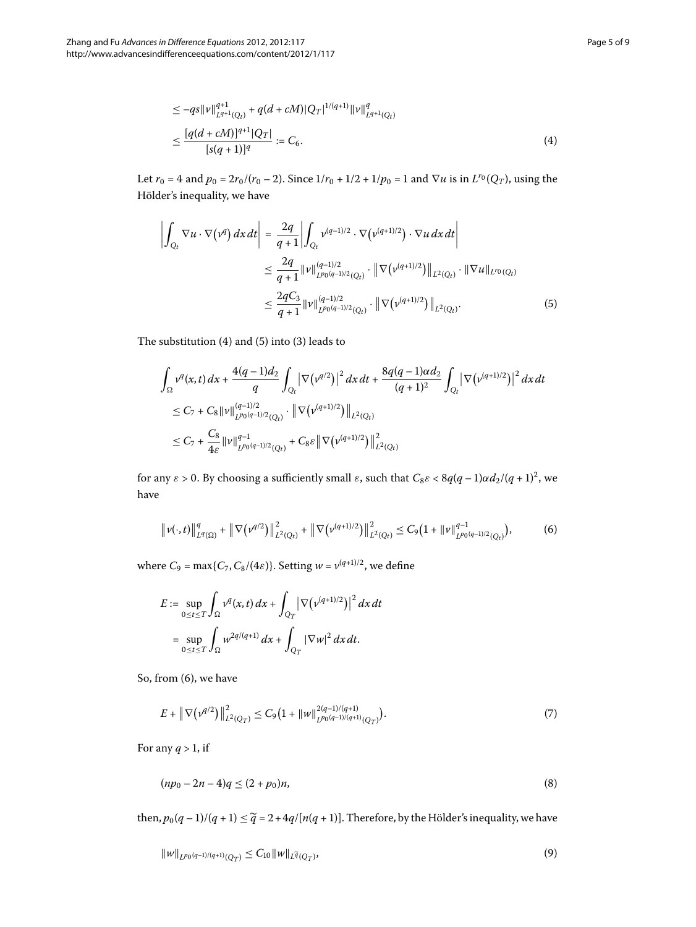$$
\leq -qs\|v\|_{L^{q+1}(Q_t)}^{q+1} + q(d + cM)|Q_T|^{1/(q+1)}\|v\|_{L^{q+1}(Q_t)}^q
$$
  

$$
\leq \frac{[q(d + cM)]^{q+1}|Q_T|}{[s(q+1)]^q} := C_6.
$$
 (4)

<span id="page-4-0"></span>Let  $r_0 = 4$  and  $p_0 = 2r_0/(r_0 - 2)$ . Since  $1/r_0 + 1/2 + 1/p_0 = 1$  and  $\nabla u$  is in  $L^{r_0}(Q_T)$ , using the Hölder's inequality, we have

$$
\left| \int_{Q_t} \nabla u \cdot \nabla (\nu^q) \, dx \, dt \right| = \frac{2q}{q+1} \left| \int_{Q_t} \nu^{(q-1)/2} \cdot \nabla (\nu^{(q+1)/2}) \cdot \nabla u \, dx \, dt \right|
$$
  
\n
$$
\leq \frac{2q}{q+1} ||\nu||_{L^{p_0(q-1)/2}(Q_t)}^{(q-1)/2} \cdot ||\nabla (\nu^{(q+1)/2})||_{L^2(Q_t)} \cdot ||\nabla u||_{L^{r_0}(Q_t)}
$$
  
\n
$$
\leq \frac{2qC_3}{q+1} ||\nu||_{L^{p_0(q-1)/2}(Q_t)}^{(q-1)/2} \cdot ||\nabla (\nu^{(q+1)/2})||_{L^2(Q_t)}.
$$
\n(5)

The substitution  $(4)$  $(4)$  and  $(5)$  into  $(3)$  leads to

<span id="page-4-1"></span>
$$
\int_{\Omega} v^{q}(x,t) dx + \frac{4(q-1)d_2}{q} \int_{Q_t} \left| \nabla (v^{q/2}) \right|^2 dx dt + \frac{8q(q-1)\alpha d_2}{(q+1)^2} \int_{Q_t} \left| \nabla (v^{(q+1)/2}) \right|^2 dx dt
$$
  
\n
$$
\leq C_7 + C_8 \|v\|_{L^{p_0(q-1)/2}(Q_t)}^{(q-1)/2} \cdot \left\| \nabla (v^{(q+1)/2}) \right\|_{L^{2}(Q_t)}
$$
  
\n
$$
\leq C_7 + \frac{C_8}{4\varepsilon} \|v\|_{L^{p_0(q-1)/2}(Q_t)}^{q-1} + C_8\varepsilon \left\| \nabla (v^{(q+1)/2}) \right\|_{L^{2}(Q_t)}^2
$$

for any  $\varepsilon > 0$ . By choosing a sufficiently small  $\varepsilon$ , such that  $C_8\varepsilon < 8q(q-1)\alpha d_2/(q+1)^2$ , we have

$$
\|\nu(\cdot,t)\|_{L^q(\Omega)}^q + \|\nabla(\nu^{q/2})\|_{L^2(Q_t)}^2 + \|\nabla(\nu^{(q+1)/2})\|_{L^2(Q_t)}^2 \le C_9 \big(1 + \|\nu\|_{L^{p_0(q-1)/2}(Q_t)}^{q-1}\big),\tag{6}
$$

where  $C_9 = \max\{C_7, C_8/(4\varepsilon)\}\$ . Setting  $w = v^{(q+1)/2}$ , we define

<span id="page-4-3"></span>
$$
E := \sup_{0 \le t \le T} \int_{\Omega} v^q(x, t) dx + \int_{Q_T} |\nabla (v^{(q+1)/2})|^2 dx dt
$$
  
= 
$$
\sup_{0 \le t \le T} \int_{\Omega} w^{2q/(q+1)} dx + \int_{Q_T} |\nabla w|^2 dx dt.
$$

So, from (6), we have

<span id="page-4-4"></span><span id="page-4-2"></span>
$$
E + \|\nabla \left(\nu^{q/2}\right)\|_{L^2(Q_T)}^2 \le C_9 \left(1 + \|w\|_{L^{p_0(q-1)/(q+1)}(Q_T)}^{2(q-1)/(q+1)}\right). \tag{7}
$$

For any  $q > 1$ , if

$$
(np_0 - 2n - 4)q \le (2 + p_0)n,\tag{8}
$$

then,  $p_0(q-1)/(q+1) \leq \widetilde{q} = 2 + 4q/[n(q+1)]$ . Therefore, by the Hölder's inequality, we have

$$
||w||_{L^{p_0(q-1)/(q+1)}(Q_T)} \leq C_{10} ||w||_{L^{\widetilde{q}}(Q_T)},
$$
\n(9)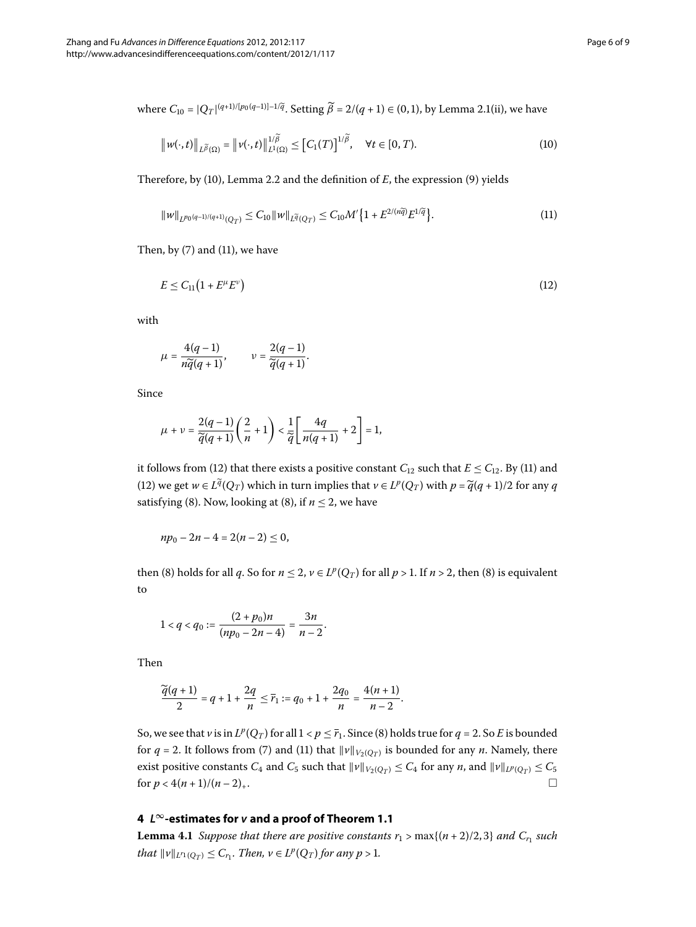where  $C_{10} = |Q_T|^{(q+1)/[p_0(q-1)]-1/\tilde{q}}$ [.](#page-2-0) Setting  $\tilde{\beta} = 2/(q+1) \in (0,1)$ , by Lemma 2.1(ii), we have

<span id="page-5-2"></span><span id="page-5-1"></span>
$$
\left\|w(\cdot,t)\right\|_{L^{\widetilde{\beta}}(\Omega)} = \left\|v(\cdot,t)\right\|_{L^{1}(\Omega)}^{1/\widetilde{\beta}} \leq \left[C_{1}(T)\right]^{1/\widetilde{\beta}}, \quad \forall t \in [0,T).
$$
\n(10)

Therefore, by (10[\)](#page-4-2), Lemma 2[.](#page-2-1)2 and the definition of *E*, the expression (9) yields

<span id="page-5-3"></span>
$$
\|w\|_{L^{p_0(q-1)/(q+1)}(Q_T)} \le C_{10} \|w\|_{L^{\widetilde{q}}(Q_T)} \le C_{10} M' \{1 + E^{2/(n\widetilde{q})} E^{1/\widetilde{q}} \}.
$$
\n(11)

Then, by  $(7)$  $(7)$  and  $(11)$ , we have

$$
E \le C_{11} \left( 1 + E^{\mu} E^{\nu} \right) \tag{12}
$$

with

$$
\mu = \frac{4(q-1)}{n\widetilde{q}(q+1)}, \qquad \nu = \frac{2(q-1)}{\widetilde{q}(q+1)}.
$$

Since

$$
\mu+\nu=\frac{2(q-1)}{\widetilde{q}(q+1)}\Bigg(\frac{2}{n}+1\Bigg)<\frac{1}{\widetilde{q}}\Bigg[\frac{4q}{n(q+1)}+2\Bigg]=1,
$$

it follows from (12) that there exists a positive constant  $C_{12}$  such that  $E \le C_{12}$ . By (11) and (12[\)](#page-5-3) we get  $w \in L^{\tilde{q}}(Q_T)$  which in turn implies that  $v \in L^p(Q_T)$  with  $p = \tilde{q}(q+1)/2$  for any *q* satisfying (8[\)](#page-4-4). Now, looking at (8), if  $n \le 2$ , we have

$$
np_0 - 2n - 4 = 2(n-2) \leq 0,
$$

then [\(](#page-4-4)8[\)](#page-4-4) holds for all *q*. So for  $n \leq 2$ ,  $v \in L^p(Q_T)$  for all  $p > 1$ . If  $n > 2$ , then (8) is equivalent to

$$
1 < q < q_0 := \frac{(2 + p_0)n}{(np_0 - 2n - 4)} = \frac{3n}{n-2}.
$$

Then

$$
\frac{\widetilde{q}(q+1)}{2}=q+1+\frac{2q}{n}\leq \overline{r}_1:=q_0+1+\frac{2q_0}{n}=\frac{4(n+1)}{n-2}.
$$

<span id="page-5-4"></span><span id="page-5-0"></span>So, we see that *v* is in  $L^p(Q_T)$  $L^p(Q_T)$  $L^p(Q_T)$  for all  $1 < p \leq \overline{r_1}$ . Since (8) holds true for  $q = 2$ . So *E* is bounded for  $q = 2$ . It follows from (7[\)](#page-5-2) and (11) that  $\|v\|_{V_2(Q_T)}$  is bounded for any *n*. Namely, there exist positive constants  $C_4$  and  $C_5$  such that  $\|\nu\|_{V_2(Q_T)} \leq C_4$  for any *n*, and  $\|\nu\|_{L^p(Q_T)} \leq C_5$ for  $p < 4(n + 1)/(n - 2)_+$ .

## **4** *L***∞-estimates for** *v* **and a proof of Theorem 1.1**

**Lemma 4.1** Suppose that there are positive constants  $r_1 > \max\{(n+2)/2, 3\}$  and  $C_r$  such *that*  $||v||_{L^{r_1}(Q_T)} \leq C_{r_1}$ *. Then,*  $v \in L^p(Q_T)$  *for any*  $p > 1$ *.*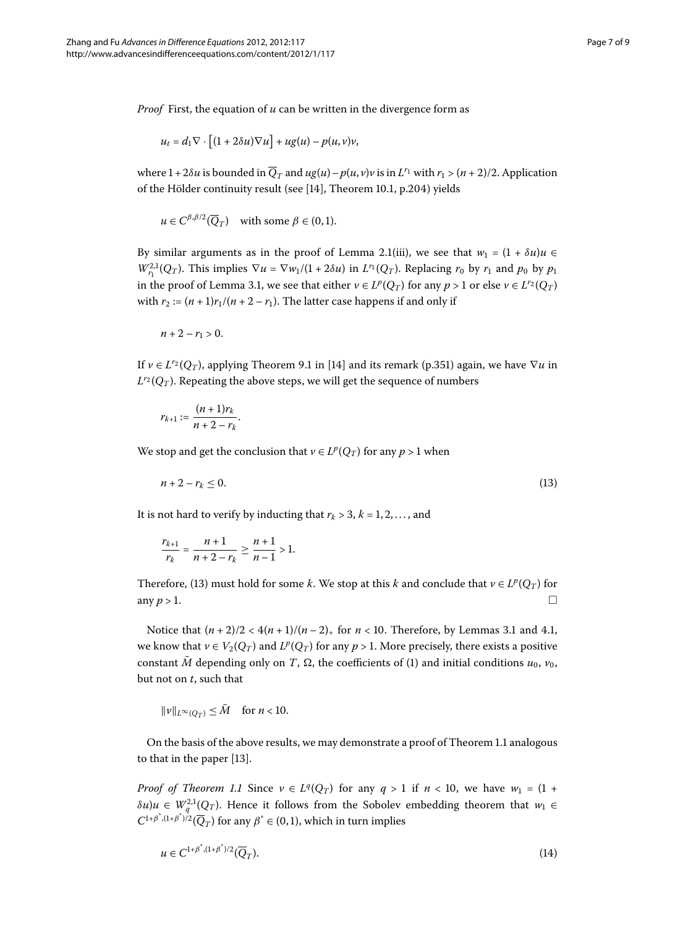*Proof* First, the equation of *u* can be written in the divergence form as

$$
u_t = d_1 \nabla \cdot \left[ (1+2\delta u) \nabla u \right] + u g(u) - p(u,v) v,
$$

where  $1 + 2\delta u$  is bounded in  $\overline{Q}_T$  and  $ug(u) - p(u, v)v$  is in  $L^{r_1}$  with  $r_1 > (n + 2)/2$ . Application of the Hölder continuity result (see [14[\]](#page-8-11), Theorem 10.1, p.204) yields

$$
u \in C^{\beta,\beta/2}(\overline{Q}_T)
$$
 with some  $\beta \in (0,1)$ .

By similar arguments as in the proof of Lemma 2.1(iii), we see that  $w_1 = (1 + \delta u)u$  $W_{r_1}^{2,1}(Q_T)$ . This implies  $\nabla u = \nabla w_1/(1+2\delta u)$  in  $L^{r_1}(Q_T)$ . Replacing  $r_0$  by  $r_1$  and  $p_0$  by  $p_1$ in the proof of Lemma 3.1, we see that either  $v \in L^p(Q_T)$  for any  $p > 1$  or else  $v \in L^{r_2}(Q_T)$ with  $r_2 := (n+1)r_1/(n+2-r_1)$ . The latter case happens if and only if

 $n+2-r_1 > 0$ .

If  $\nu \in L^{r_2}(Q_T)$ , applying Theorem 9.1 in [14[\]](#page-8-11) and its remark (p.351) again, we have  $\nabla u$  in  $L^{r_2}(Q_T)$ . Repeating the above steps, we will get the sequence of numbers

<span id="page-6-0"></span>
$$
r_{k+1} := \frac{(n+1)r_k}{n+2-r_k}.
$$

We stop and get the conclusion that  $v \in L^p(Q_T)$  for any  $p > 1$  when

$$
n+2-r_k\leq 0.\tag{13}
$$

It is not hard to verify by inducting that  $r_k > 3$ ,  $k = 1, 2, \ldots$ , and

$$
\frac{r_{k+1}}{r_k} = \frac{n+1}{n+2-r_k} \ge \frac{n+1}{n-1} > 1.
$$

Therefore, (13) must hold for some *k*. We stop at this *k* and conclude that  $v \in L^p(Q_T)$  for any  $p > 1$ .

Notice that  $(n+2)/2 < 4(n+1)/(n-2)$ , for  $n < 10$ [.](#page-3-4) Therefore, by Lemmas 3.1 and 4.1, we know that  $v \in V_2(Q_T)$  and  $L^p(Q_T)$  for any  $p > 1$ . More precisely, there exists a positive constant  $\overline{M}$  depending only on *T*,  $\Omega$ , the coefficients of [\(](#page-0-1)1) and initial conditions  $u_0$ ,  $v_0$ , but not on *t*, such that

<span id="page-6-1"></span>
$$
\|\nu\|_{L^{\infty}(Q_T)} \leq \bar{M} \quad \text{for } n < 10.
$$

On the basis of the above results, we may demonstrate a proof of Theorem 1[.](#page-1-1)1 analogous to that in the paper  $[13]$ .

*Proof of Theorem 1[.](#page-1-1)1* Since  $v \in L^q(Q_T)$  for any  $q > 1$  if  $n < 10$ , we have  $w_1 = (1 +$  $\delta u$ )*u* ∈ *W*<sub>*q*</sub><sup>2</sup>,1(*Q<sub>T</sub>*). Hence it follows from the Sobolev embedding theorem that *w*<sub>1</sub> ∈  $C^{1+\beta^*,(1+\beta^*)/2}(\overline{Q}_T)$  for any  $\beta^* \in (0,1)$ , which in turn implies

$$
u \in C^{1+\beta^*,(1+\beta^*)/2}(\overline{Q}_T). \tag{14}
$$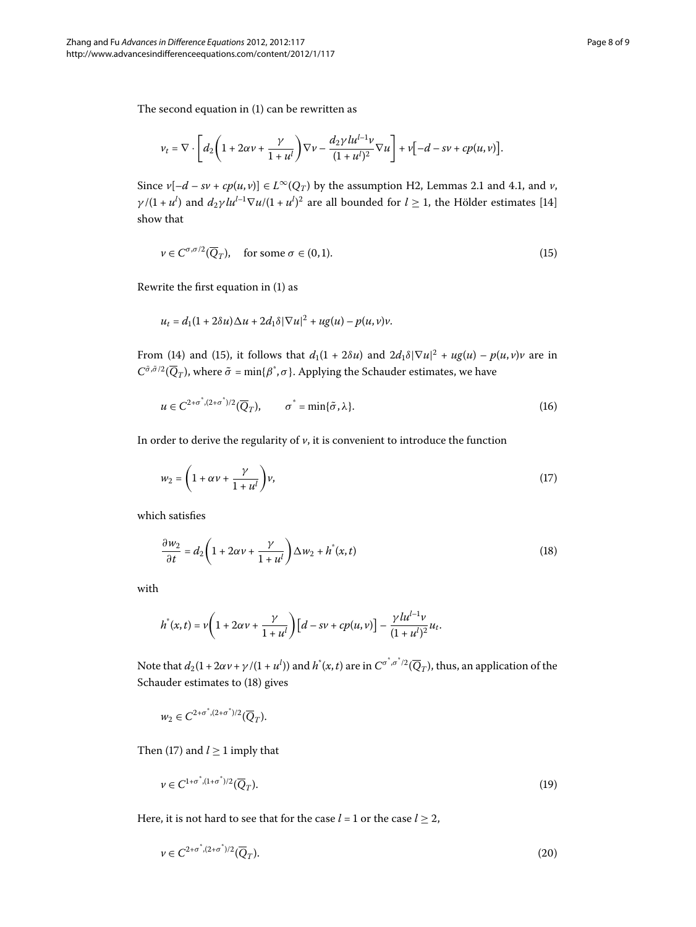The second equation in  $(1)$  $(1)$  can be rewritten as

<span id="page-7-0"></span>
$$
v_t = \nabla \cdot \left[ d_2 \left( 1 + 2\alpha \nu + \frac{\gamma}{1 + u^l} \right) \nabla \nu - \frac{d_2 \gamma l u^{l-1} \nu}{(1 + u^l)^2} \nabla u \right] + \nu \left[ -d - s \nu + c p(u, v) \right].
$$

Since  $v[-d - sv + cp(u, v)] \in L^{\infty}(Q_T)$  by the assumption H2, Lemmas 2[.](#page-5-4)1 and 4.1, and *v*, *γ* /(1 + *u<sup>l</sup>*) and *d*<sub>2</sub>*γlu*<sup>*l*-1</sup> $\nabla$ *u*/(1 + *u<sup>l</sup>*)<sup>2</sup> are all bounded for *l* ≥ 1, the Hölder estimates [14] show that

$$
\nu \in C^{\sigma,\sigma/2}(\overline{Q}_T), \quad \text{for some } \sigma \in (0,1). \tag{15}
$$

Rewrite the first equation in  $(1)$  $(1)$  as

<span id="page-7-3"></span>
$$
u_t = d_1(1+2\delta u)\Delta u + 2d_1\delta|\nabla u|^2 + u g(u) - p(u,v)v.
$$

From (14[\)](#page-7-0) and (15), it follows that  $d_1(1 + 2\delta u)$  and  $2d_1\delta|\nabla u|^2 + ug(u) - p(u, v)v$  are in  $C^{\tilde{\sigma}, \tilde{\sigma}/2}(\overline{Q}_T)$ , where  $\tilde{\sigma} = \min\{\beta^*, \sigma\}$ . Applying the Schauder estimates, we have

<span id="page-7-2"></span>
$$
u \in C^{2+\sigma^*, (2+\sigma^*)/2}(\overline{Q}_T), \qquad \sigma^* = \min{\{\tilde{\sigma}, \lambda\}}.
$$
 (16)

In order to derive the regularity of  $\nu$ , it is convenient to introduce the function

<span id="page-7-1"></span>
$$
w_2 = \left(1 + \alpha v + \frac{\gamma}{1 + u^l}\right)v,\tag{17}
$$

which satisfies

$$
\frac{\partial w_2}{\partial t} = d_2 \left( 1 + 2\alpha v + \frac{\gamma}{1 + u^l} \right) \Delta w_2 + h^*(x, t)
$$
\n(18)

with

$$
h^*(x,t)=\nu\bigg(1+2\alpha\nu+\frac{\gamma}{1+u^l}\bigg)\big[d-s\nu+cp(u,\nu)\big]-\frac{\gamma l u^{l-1}\nu}{(1+u^l)^2}u_t.
$$

Note that  $d_2(1+2\alpha\nu+\gamma/(1+u^l))$  and  $h^*(x,t)$  are in  $C^{\sigma^*,\sigma^*/2}(\overline{Q}_T)$ , thus, an application of the Schauder estimates to [\(](#page-7-1)18) gives

<span id="page-7-5"></span><span id="page-7-4"></span>
$$
w_2 \in C^{2+\sigma^*,(2+\sigma^*)/2}(\overline{Q}_T).
$$

Then (17[\)](#page-7-2) and  $l \geq 1$  imply that

$$
\nu \in C^{1+\sigma^*,(1+\sigma^*)/2}(\overline{Q}_T). \tag{19}
$$

Here, it is not hard to see that for the case  $l = 1$  or the case  $l \geq 2$ ,

$$
\nu \in C^{2+\sigma^*, (2+\sigma^*)/2}(\overline{Q}_T). \tag{20}
$$